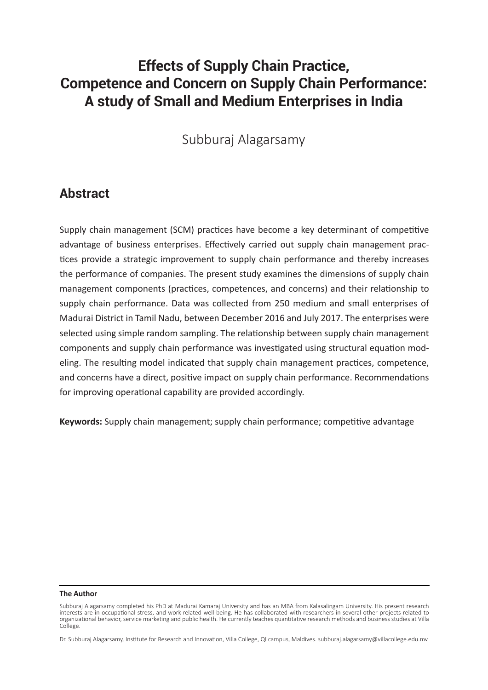# **Effects of Supply Chain Practice, Competence and Concern on Supply Chain Performance: A study of Small and Medium Enterprises in India**

## Subburaj Alagarsamy

## **Abstract**

Supply chain management (SCM) practices have become a key determinant of competitive advantage of business enterprises. Effectively carried out supply chain management practices provide a strategic improvement to supply chain performance and thereby increases the performance of companies. The present study examines the dimensions of supply chain management components (practices, competences, and concerns) and their relationship to supply chain performance. Data was collected from 250 medium and small enterprises of Madurai District in Tamil Nadu, between December 2016 and July 2017. The enterprises were selected using simple random sampling. The relationship between supply chain management components and supply chain performance was investigated using structural equation modeling. The resulting model indicated that supply chain management practices, competence, and concerns have a direct, positive impact on supply chain performance. Recommendations for improving operational capability are provided accordingly.

**Keywords:** Supply chain management; supply chain performance; competitive advantage

#### **The Author**

Subburaj Alagarsamy completed his PhD at Madurai Kamaraj University and has an MBA from Kalasalingam University. His present research interests are in occupational stress, and work-related well-being. He has collaborated with researchers in several other projects related to organizational behavior, service marketing and public health. He currently teaches quantitative research methods and business studies at Villa College.

Dr. Subburaj Alagarsamy, Institute for Research and Innovation, Villa College, QI campus, Maldives. subburaj.alagarsamy@villacollege.edu.mv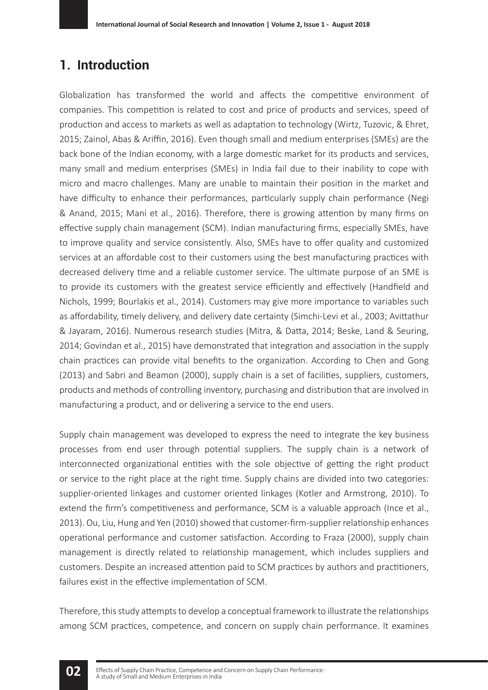## **1. Introduction**

Globalization has transformed the world and affects the competitive environment of companies. This competition is related to cost and price of products and services, speed of production and access to markets as well as adaptation to technology (Wirtz, Tuzovic, & Ehret, 2015; Zainol, Abas & Ariffin, 2016). Even though small and medium enterprises (SMEs) are the back bone of the Indian economy, with a large domestic market for its products and services, many small and medium enterprises (SMEs) in India fail due to their inability to cope with micro and macro challenges. Many are unable to maintain their position in the market and have difficulty to enhance their performances, particularly supply chain performance (Negi & Anand, 2015; Mani et al., 2016). Therefore, there is growing attention by many firms on effective supply chain management (SCM). Indian manufacturing firms, especially SMEs, have to improve quality and service consistently. Also, SMEs have to offer quality and customized services at an affordable cost to their customers using the best manufacturing practices with decreased delivery time and a reliable customer service. The ultimate purpose of an SME is to provide its customers with the greatest service efficiently and effectively (Handfield and Nichols, 1999; Bourlakis et al., 2014). Customers may give more importance to variables such as affordability, timely delivery, and delivery date certainty (Simchi-Levi et al., 2003; Avittathur & Jayaram, 2016). Numerous research studies (Mitra, & Datta, 2014; Beske, Land & Seuring, 2014; Govindan et al., 2015) have demonstrated that integration and association in the supply chain practices can provide vital benefits to the organization. According to Chen and Gong (2013) and Sabri and Beamon (2000), supply chain is a set of facilities, suppliers, customers, products and methods of controlling inventory, purchasing and distribution that are involved in manufacturing a product, and or delivering a service to the end users.

Supply chain management was developed to express the need to integrate the key business processes from end user through potential suppliers. The supply chain is a network of interconnected organizational entities with the sole objective of getting the right product or service to the right place at the right time. Supply chains are divided into two categories: supplier-oriented linkages and customer oriented linkages (Kotler and Armstrong, 2010). To extend the firm's competitiveness and performance, SCM is a valuable approach (Ince et al., 2013). Ou, Liu, Hung and Yen (2010) showed that customer-firm-supplier relationship enhances operational performance and customer satisfaction. According to Fraza (2000), supply chain management is directly related to relationship management, which includes suppliers and customers. Despite an increased attention paid to SCM practices by authors and practitioners, failures exist in the effective implementation of SCM.

Therefore, this study attempts to develop a conceptual framework to illustrate the relationships among SCM practices, competence, and concern on supply chain performance. It examines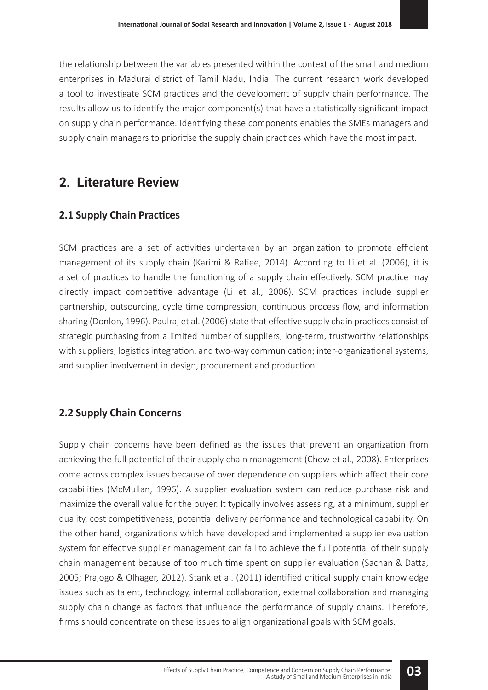the relationship between the variables presented within the context of the small and medium enterprises in Madurai district of Tamil Nadu, India. The current research work developed a tool to investigate SCM practices and the development of supply chain performance. The results allow us to identify the major component(s) that have a statistically significant impact on supply chain performance. Identifying these components enables the SMEs managers and supply chain managers to prioritise the supply chain practices which have the most impact.

## **2. Literature Review**

### **2.1 Supply Chain Practices**

SCM practices are a set of activities undertaken by an organization to promote efficient management of its supply chain (Karimi & Rafiee, 2014). According to Li et al. (2006), it is a set of practices to handle the functioning of a supply chain effectively. SCM practice may directly impact competitive advantage (Li et al., 2006). SCM practices include supplier partnership, outsourcing, cycle time compression, continuous process flow, and information sharing (Donlon, 1996). Paulraj et al. (2006) state that effective supply chain practices consist of strategic purchasing from a limited number of suppliers, long-term, trustworthy relationships with suppliers; logistics integration, and two-way communication; inter-organizational systems, and supplier involvement in design, procurement and production.

### **2.2 Supply Chain Concerns**

Supply chain concerns have been defined as the issues that prevent an organization from achieving the full potential of their supply chain management (Chow et al., 2008). Enterprises come across complex issues because of over dependence on suppliers which affect their core capabilities (McMullan, 1996). A supplier evaluation system can reduce purchase risk and maximize the overall value for the buyer. It typically involves assessing, at a minimum, supplier quality, cost competitiveness, potential delivery performance and technological capability. On the other hand, organizations which have developed and implemented a supplier evaluation system for effective supplier management can fail to achieve the full potential of their supply chain management because of too much time spent on supplier evaluation (Sachan & Datta, 2005; Prajogo & Olhager, 2012). Stank et al. (2011) identified critical supply chain knowledge issues such as talent, technology, internal collaboration, external collaboration and managing supply chain change as factors that influence the performance of supply chains. Therefore, firms should concentrate on these issues to align organizational goals with SCM goals.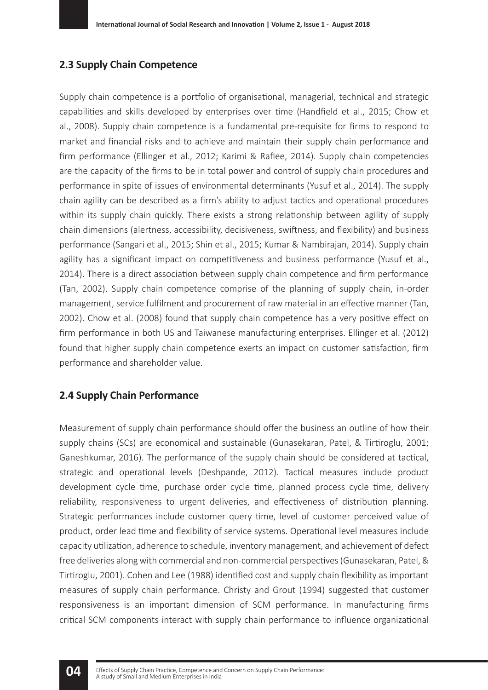#### **2.3 Supply Chain Competence**

Supply chain competence is a portfolio of organisational, managerial, technical and strategic capabilities and skills developed by enterprises over time (Handfield et al., 2015; Chow et al., 2008). Supply chain competence is a fundamental pre-requisite for firms to respond to market and financial risks and to achieve and maintain their supply chain performance and firm performance (Ellinger et al., 2012; Karimi & Rafiee, 2014). Supply chain competencies are the capacity of the firms to be in total power and control of supply chain procedures and performance in spite of issues of environmental determinants (Yusuf et al., 2014). The supply chain agility can be described as a firm's ability to adjust tactics and operational procedures within its supply chain quickly. There exists a strong relationship between agility of supply chain dimensions (alertness, accessibility, decisiveness, swiftness, and flexibility) and business performance (Sangari et al., 2015; Shin et al., 2015; Kumar & Nambirajan, 2014). Supply chain agility has a significant impact on competitiveness and business performance (Yusuf et al., 2014). There is a direct association between supply chain competence and firm performance (Tan, 2002). Supply chain competence comprise of the planning of supply chain, in-order management, service fulfilment and procurement of raw material in an effective manner (Tan, 2002). Chow et al. (2008) found that supply chain competence has a very positive effect on firm performance in both US and Taiwanese manufacturing enterprises. Ellinger et al. (2012) found that higher supply chain competence exerts an impact on customer satisfaction, firm performance and shareholder value.

### **2.4 Supply Chain Performance**

**04**

Measurement of supply chain performance should offer the business an outline of how their supply chains (SCs) are economical and sustainable (Gunasekaran, Patel, & Tirtiroglu, 2001; Ganeshkumar, 2016). The performance of the supply chain should be considered at tactical, strategic and operational levels (Deshpande, 2012). Tactical measures include product development cycle time, purchase order cycle time, planned process cycle time, delivery reliability, responsiveness to urgent deliveries, and effectiveness of distribution planning. Strategic performances include customer query time, level of customer perceived value of product, order lead time and flexibility of service systems. Operational level measures include capacity utilization, adherence to schedule, inventory management, and achievement of defect free deliveries along with commercial and non-commercial perspectives (Gunasekaran, Patel, & Tirtiroglu, 2001). Cohen and Lee (1988) identified cost and supply chain flexibility as important measures of supply chain performance. Christy and Grout (1994) suggested that customer responsiveness is an important dimension of SCM performance. In manufacturing firms critical SCM components interact with supply chain performance to influence organizational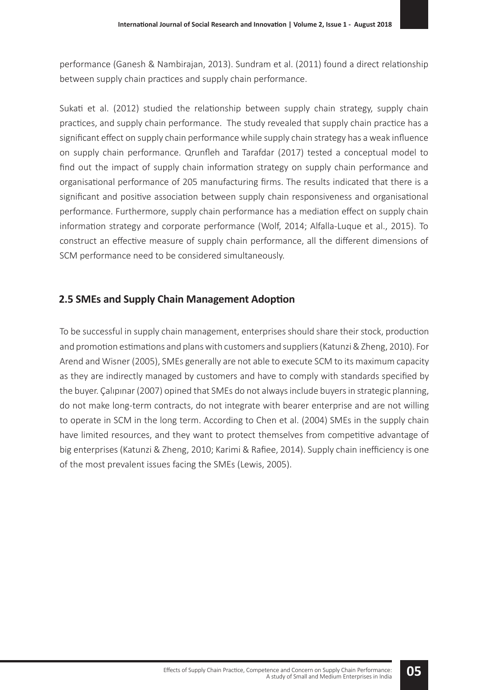performance (Ganesh & Nambirajan, 2013). Sundram et al. (2011) found a direct relationship between supply chain practices and supply chain performance.

Sukati et al. (2012) studied the relationship between supply chain strategy, supply chain practices, and supply chain performance. The study revealed that supply chain practice has a significant effect on supply chain performance while supply chain strategy has a weak influence on supply chain performance. Qrunfleh and Tarafdar (2017) tested a conceptual model to find out the impact of supply chain information strategy on supply chain performance and organisational performance of 205 manufacturing firms. The results indicated that there is a significant and positive association between supply chain responsiveness and organisational performance. Furthermore, supply chain performance has a mediation effect on supply chain information strategy and corporate performance (Wolf, 2014; Alfalla-Luque et al., 2015). To construct an effective measure of supply chain performance, all the different dimensions of SCM performance need to be considered simultaneously.

### **2.5 SMEs and Supply Chain Management Adoption**

To be successful in supply chain management, enterprises should share their stock, production and promotion estimations and plans with customers and suppliers (Katunzi & Zheng, 2010). For Arend and Wisner (2005), SMEs generally are not able to execute SCM to its maximum capacity as they are indirectly managed by customers and have to comply with standards specified by the buyer. Çalıpınar (2007) opined that SMEs do not always include buyers in strategic planning, do not make long-term contracts, do not integrate with bearer enterprise and are not willing to operate in SCM in the long term. According to Chen et al. (2004) SMEs in the supply chain have limited resources, and they want to protect themselves from competitive advantage of big enterprises (Katunzi & Zheng, 2010; Karimi & Rafiee, 2014). Supply chain inefficiency is one of the most prevalent issues facing the SMEs (Lewis, 2005).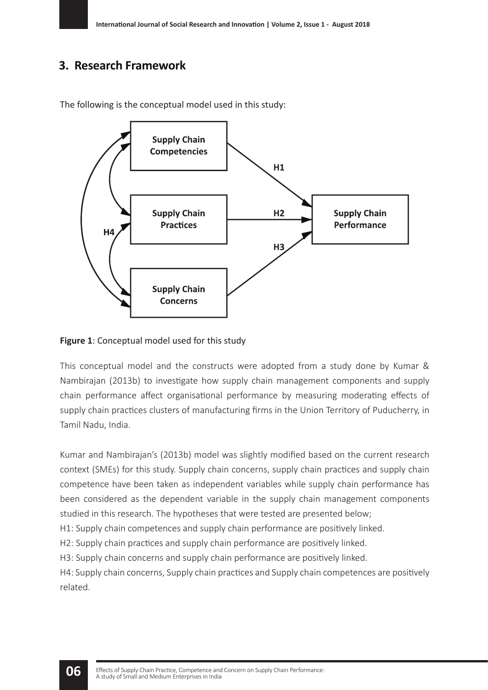### **3. Research Framework**



The following is the conceptual model used in this study:

**Figure 1**: Conceptual model used for this study

This conceptual model and the constructs were adopted from a study done by Kumar & Nambirajan (2013b) to investigate how supply chain management components and supply chain performance affect organisational performance by measuring moderating effects of supply chain practices clusters of manufacturing firms in the Union Territory of Puducherry, in Tamil Nadu, India.

Kumar and Nambirajan's (2013b) model was slightly modified based on the current research context (SMEs) for this study. Supply chain concerns, supply chain practices and supply chain competence have been taken as independent variables while supply chain performance has been considered as the dependent variable in the supply chain management components studied in this research. The hypotheses that were tested are presented below;

H1: Supply chain competences and supply chain performance are positively linked.

H2: Supply chain practices and supply chain performance are positively linked.

H3: Supply chain concerns and supply chain performance are positively linked.

H4: Supply chain concerns, Supply chain practices and Supply chain competences are positively related.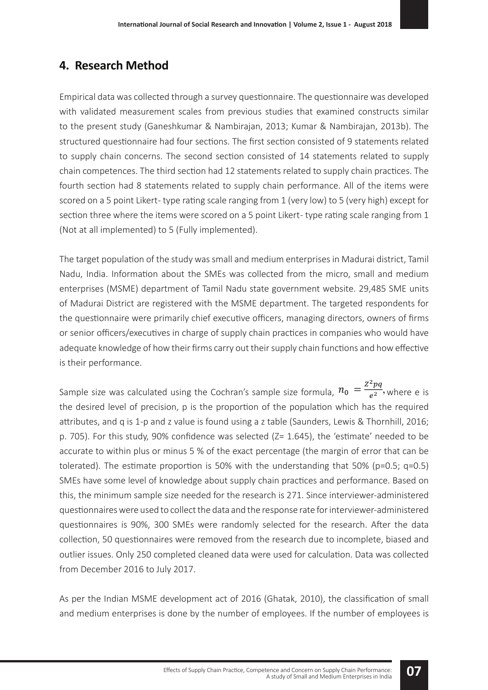### **4. Research Method**

Empirical data was collected through a survey questionnaire. The questionnaire was developed with validated measurement scales from previous studies that examined constructs similar to the present study (Ganeshkumar & Nambirajan, 2013; Kumar & Nambirajan, 2013b). The structured questionnaire had four sections. The first section consisted of 9 statements related to supply chain concerns. The second section consisted of 14 statements related to supply chain competences. The third section had 12 statements related to supply chain practices. The fourth section had 8 statements related to supply chain performance. All of the items were scored on a 5 point Likert- type rating scale ranging from 1 (very low) to 5 (very high) except for section three where the items were scored on a 5 point Likert- type rating scale ranging from 1 (Not at all implemented) to 5 (Fully implemented).

The target population of the study was small and medium enterprises in Madurai district, Tamil Nadu, India. Information about the SMEs was collected from the micro, small and medium enterprises (MSME) department of Tamil Nadu state government website. 29,485 SME units of Madurai District are registered with the MSME department. The targeted respondents for the questionnaire were primarily chief executive officers, managing directors, owners of firms or senior officers/executives in charge of supply chain practices in companies who would have adequate knowledge of how their firms carry out their supply chain functions and how effective is their performance.

Sample size was calculated using the Cochran's sample size formula,  $n_0 = \frac{Z^2pq}{e^2}$ , where e is the desired level of precision, p is the proportion of the population which has the required attributes, and q is 1-p and z value is found using a z table (Saunders, Lewis & Thornhill, 2016; p. 705). For this study, 90% confidence was selected (Z= 1.645), the 'estimate' needed to be accurate to within plus or minus 5 % of the exact percentage (the margin of error that can be tolerated). The estimate proportion is 50% with the understanding that 50% (p=0.5;  $q=0.5$ ) SMEs have some level of knowledge about supply chain practices and performance. Based on this, the minimum sample size needed for the research is 271. Since interviewer-administered questionnaires were used to collect the data and the response rate for interviewer-administered questionnaires is 90%, 300 SMEs were randomly selected for the research. After the data collection, 50 questionnaires were removed from the research due to incomplete, biased and outlier issues. Only 250 completed cleaned data were used for calculation. Data was collected from December 2016 to July 2017.

As per the Indian MSME development act of 2016 (Ghatak, 2010), the classification of small and medium enterprises is done by the number of employees. If the number of employees is

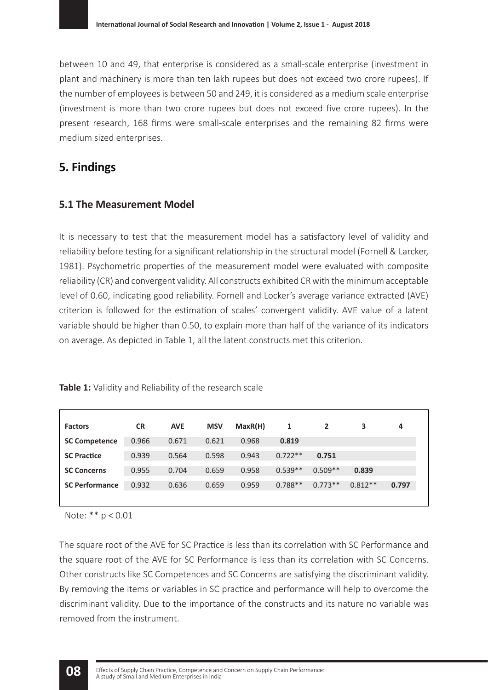between 10 and 49, that enterprise is considered as a small-scale enterprise (investment in plant and machinery is more than ten lakh rupees but does not exceed two crore rupees). If the number of employees is between 50 and 249, it is considered as a medium scale enterprise (investment is more than two crore rupees but does not exceed five crore rupees). In the present research, 168 firms were small-scale enterprises and the remaining 82 firms were medium sized enterprises.

### **5. Findings**

### **5.1 The Measurement Model**

It is necessary to test that the measurement model has a satisfactory level of validity and reliability before testing for a significant relationship in the structural model (Fornell & Larcker, 1981). Psychometric properties of the measurement model were evaluated with composite reliability (CR) and convergent validity. All constructs exhibited CR with the minimum acceptable level of 0.60, indicating good reliability. Fornell and Locker's average variance extracted (AVE) criterion is followed for the estimation of scales' convergent validity. AVE value of a latent variable should be higher than 0.50, to explain more than half of the variance of its indicators on average. As depicted in Table 1, all the latent constructs met this criterion.

| <b>Factors</b>        | <b>CR</b> | <b>AVE</b> | <b>MSV</b> | MaxR(H) | 1         |           | 3         | 4     |
|-----------------------|-----------|------------|------------|---------|-----------|-----------|-----------|-------|
| <b>SC Competence</b>  | 0.966     | 0.671      | 0.621      | 0.968   | 0.819     |           |           |       |
| <b>SC Practice</b>    | 0.939     | 0.564      | 0.598      | 0.943   | $0.722**$ | 0.751     |           |       |
| <b>SC Concerns</b>    | 0.955     | 0.704      | 0.659      | 0.958   | $0.539**$ | $0.509**$ | 0.839     |       |
| <b>SC Performance</b> | 0.932     | 0.636      | 0.659      | 0.959   | $0.788**$ | $0.773**$ | $0.812**$ | 0.797 |
|                       |           |            |            |         |           |           |           |       |

**Table 1:** Validity and Reliability of the research scale

Note: \*\* p < 0.01

The square root of the AVE for SC Practice is less than its correlation with SC Performance and the square root of the AVE for SC Performance is less than its correlation with SC Concerns. Other constructs like SC Competences and SC Concerns are satisfying the discriminant validity. By removing the items or variables in SC practice and performance will help to overcome the discriminant validity. Due to the importance of the constructs and its nature no variable was removed from the instrument.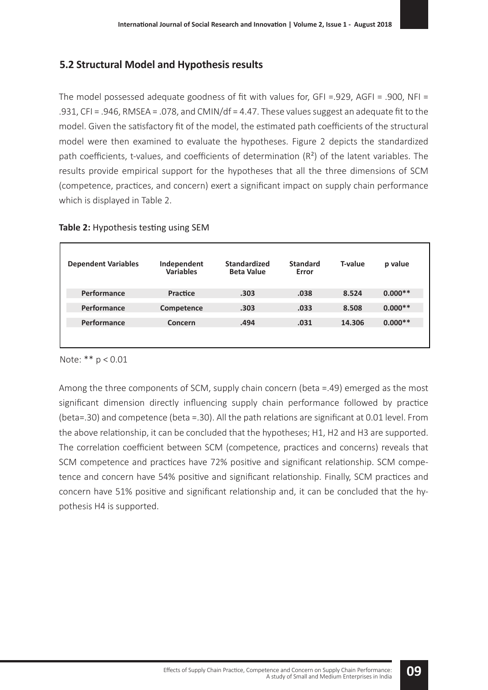### **5.2 Structural Model and Hypothesis results**

The model possessed adequate goodness of fit with values for, GFI =.929, AGFI = .900, NFI = .931, CFI = .946, RMSEA = .078, and CMIN/df = 4.47. These values suggest an adequate fit to the model. Given the satisfactory fit of the model, the estimated path coefficients of the structural model were then examined to evaluate the hypotheses. Figure 2 depicts the standardized path coefficients, t-values, and coefficients of determination (R²) of the latent variables. The results provide empirical support for the hypotheses that all the three dimensions of SCM (competence, practices, and concern) exert a significant impact on supply chain performance which is displayed in Table 2.

| <b>Dependent Variables</b> | Independent<br><b>Variables</b> | <b>Standardized</b><br><b>Beta Value</b> | <b>Standard</b><br>Error | <b>T-value</b> | p value   |
|----------------------------|---------------------------------|------------------------------------------|--------------------------|----------------|-----------|
| Performance                | Practice                        | .303                                     | .038                     | 8.524          | $0.000**$ |
| Performance                | Competence                      | .303                                     | .033                     | 8.508          | $0.000**$ |
| Performance                | Concern                         | .494                                     | .031                     | 14.306         | $0.000**$ |
|                            |                                 |                                          |                          |                |           |

#### Note: \*\* p < 0.01

Among the three components of SCM, supply chain concern (beta =.49) emerged as the most significant dimension directly influencing supply chain performance followed by practice (beta=.30) and competence (beta =.30). All the path relations are significant at 0.01 level. From the above relationship, it can be concluded that the hypotheses; H1, H2 and H3 are supported. The correlation coefficient between SCM (competence, practices and concerns) reveals that SCM competence and practices have 72% positive and significant relationship. SCM competence and concern have 54% positive and significant relationship. Finally, SCM practices and concern have 51% positive and significant relationship and, it can be concluded that the hypothesis H4 is supported.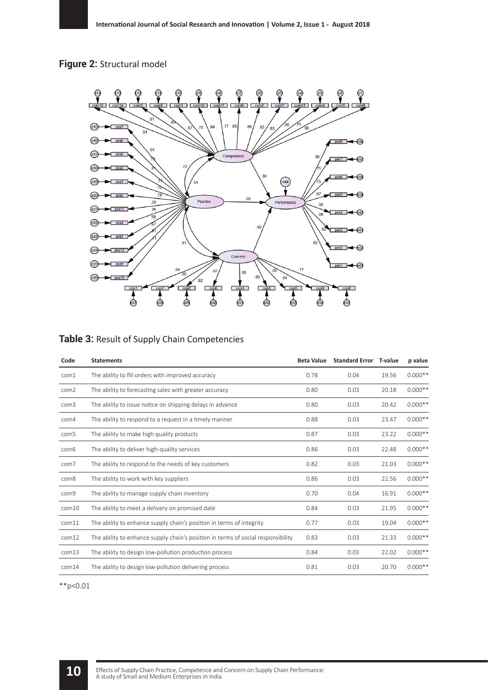### **Figure 2:** Structural model



#### **Table 3:** Result of Supply Chain Competencies

| Code             | <b>Statements</b>                                                                | <b>Beta Value</b> | <b>Standard Error</b> T-value |       | p value   |
|------------------|----------------------------------------------------------------------------------|-------------------|-------------------------------|-------|-----------|
| com1             | The ability to fill orders with improved accuracy                                | 0.78              | 0.04                          | 19.56 | $0.000**$ |
| com <sub>2</sub> | The ability to forecasting sales with greater accuracy                           | 0.80              | 0.03                          | 20.18 | $0.000**$ |
| com <sub>3</sub> | The ability to issue notice on shipping delays in advance                        | 0.80              | 0.03                          | 20.42 | $0.000**$ |
| com4             | The ability to respond to a request in a timely manner                           | 0.88              | 0.03                          | 23.47 | $0.000**$ |
| com <sub>5</sub> | The ability to make high quality products                                        | 0.87              | 0.03                          | 23.22 | $0.000**$ |
| com6             | The ability to deliver high-quality services                                     | 0.86              | 0.03                          | 22.48 | $0.000**$ |
| com7             | The ability to respond to the needs of key customers                             | 0.82              | 0.03                          | 21.03 | $0.000**$ |
| com8             | The ability to work with key suppliers                                           | 0.86              | 0.03                          | 22.56 | $0.000**$ |
| com9             | The ability to manage supply chain inventory                                     | 0.70              | 0.04                          | 16.91 | $0.000**$ |
| com10            | The ability to meet a delivery on promised date                                  | 0.84              | 0.03                          | 21.95 | $0.000**$ |
| com11            | The ability to enhance supply chain's position in terms of integrity             | 0.77              | 0.03                          | 19.04 | $0.000**$ |
| com12            | The ability to enhance supply chain's position in terms of social responsibility | 0.83              | 0.03                          | 21.33 | $0.000**$ |
| com13            | The ability to design low-pollution production process                           | 0.84              | 0.03                          | 22.02 | $0.000**$ |
| com14            | The ability to design low-pollution delivering process                           | 0.81              | 0.03                          | 20.70 | $0.000**$ |

\*\*p<0.01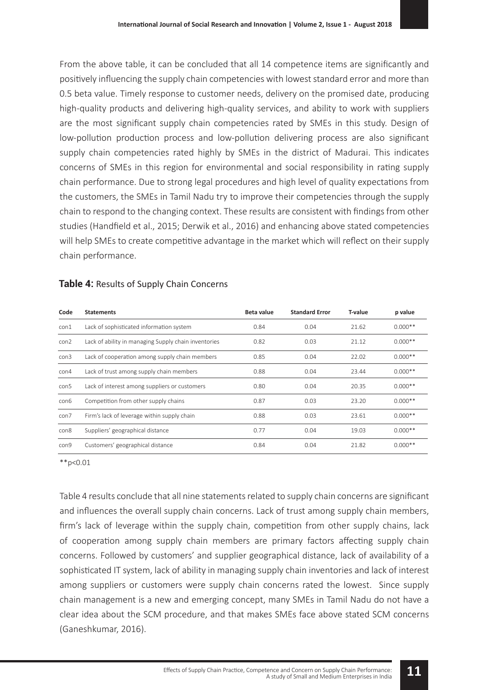From the above table, it can be concluded that all 14 competence items are significantly and positively influencing the supply chain competencies with lowest standard error and more than 0.5 beta value. Timely response to customer needs, delivery on the promised date, producing high-quality products and delivering high-quality services, and ability to work with suppliers are the most significant supply chain competencies rated by SMEs in this study. Design of low-pollution production process and low-pollution delivering process are also significant supply chain competencies rated highly by SMEs in the district of Madurai. This indicates concerns of SMEs in this region for environmental and social responsibility in rating supply chain performance. Due to strong legal procedures and high level of quality expectations from the customers, the SMEs in Tamil Nadu try to improve their competencies through the supply chain to respond to the changing context. These results are consistent with findings from other studies (Handfield et al., 2015; Derwik et al., 2016) and enhancing above stated competencies will help SMEs to create competitive advantage in the market which will reflect on their supply chain performance.

| Code | <b>Statements</b>                                    | Beta value | <b>Standard Error</b> | <b>T-value</b> | p value   |
|------|------------------------------------------------------|------------|-----------------------|----------------|-----------|
| con1 | Lack of sophisticated information system             | 0.84       | 0.04                  | 21.62          | $0.000**$ |
| con2 | Lack of ability in managing Supply chain inventories | 0.82       | 0.03                  | 21.12          | $0.000**$ |
| con3 | Lack of cooperation among supply chain members       | 0.85       | 0.04                  | 22.02          | $0.000**$ |
| con4 | Lack of trust among supply chain members             | 0.88       | 0.04                  | 23.44          | $0.000**$ |
| con5 | Lack of interest among suppliers or customers        | 0.80       | 0.04                  | 20.35          | $0.000**$ |
| con6 | Competition from other supply chains                 | 0.87       | 0.03                  | 23.20          | $0.000**$ |
| con7 | Firm's lack of leverage within supply chain          | 0.88       | 0.03                  | 23.61          | $0.000**$ |
| con8 | Suppliers' geographical distance                     | 0.77       | 0.04                  | 19.03          | $0.000**$ |
| con9 | Customers' geographical distance                     | 0.84       | 0.04                  | 21.82          | $0.000**$ |

#### **Table 4:** Results of Supply Chain Concerns

 $*$  $p < 0.01$ 

Table 4 results conclude that all nine statements related to supply chain concerns are significant and influences the overall supply chain concerns. Lack of trust among supply chain members, firm's lack of leverage within the supply chain, competition from other supply chains, lack of cooperation among supply chain members are primary factors affecting supply chain concerns. Followed by customers' and supplier geographical distance, lack of availability of a sophisticated IT system, lack of ability in managing supply chain inventories and lack of interest among suppliers or customers were supply chain concerns rated the lowest. Since supply chain management is a new and emerging concept, many SMEs in Tamil Nadu do not have a clear idea about the SCM procedure, and that makes SMEs face above stated SCM concerns (Ganeshkumar, 2016).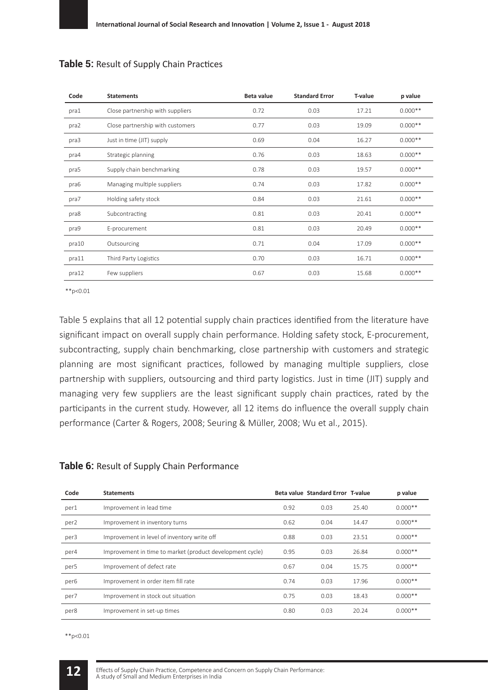| Code  | <b>Statements</b>                | <b>Beta value</b> | <b>Standard Error</b> | T-value | p value   |
|-------|----------------------------------|-------------------|-----------------------|---------|-----------|
| pra1  | Close partnership with suppliers | 0.72              | 0.03                  | 17.21   | $0.000**$ |
| pra2  | Close partnership with customers | 0.77              | 0.03                  | 19.09   | $0.000**$ |
| pra3  | Just in time (JIT) supply        | 0.69              | 0.04                  | 16.27   | $0.000**$ |
| pra4  | Strategic planning               | 0.76              | 0.03                  | 18.63   | $0.000**$ |
| pra5  | Supply chain benchmarking        | 0.78              | 0.03                  | 19.57   | $0.000**$ |
| pra6  | Managing multiple suppliers      | 0.74              | 0.03                  | 17.82   | $0.000**$ |
| pra7  | Holding safety stock             | 0.84              | 0.03                  | 21.61   | $0.000**$ |
| pra8  | Subcontracting                   | 0.81              | 0.03                  | 20.41   | $0.000**$ |
| pra9  | E-procurement                    | 0.81              | 0.03                  | 20.49   | $0.000**$ |
| pra10 | Outsourcing                      | 0.71              | 0.04                  | 17.09   | $0.000**$ |
| pra11 | Third Party Logistics            | 0.70              | 0.03                  | 16.71   | $0.000**$ |
| pra12 | Few suppliers                    | 0.67              | 0.03                  | 15.68   | $0.000**$ |

#### **Table 5:** Result of Supply Chain Practices

\*\*p<0.01

Table 5 explains that all 12 potential supply chain practices identified from the literature have significant impact on overall supply chain performance. Holding safety stock, E-procurement, subcontracting, supply chain benchmarking, close partnership with customers and strategic planning are most significant practices, followed by managing multiple suppliers, close partnership with suppliers, outsourcing and third party logistics. Just in time (JIT) supply and managing very few suppliers are the least significant supply chain practices, rated by the participants in the current study. However, all 12 items do influence the overall supply chain performance (Carter & Rogers, 2008; Seuring & Müller, 2008; Wu et al., 2015).

#### **Table 6:** Result of Supply Chain Performance

| Code             | <b>Statements</b>                                         |      | Beta value Standard Error T-value |       | p value   |
|------------------|-----------------------------------------------------------|------|-----------------------------------|-------|-----------|
| per1             | Improvement in lead time                                  | 0.92 | 0.03                              | 25.40 | $0.000**$ |
| per <sub>2</sub> | Improvement in inventory turns                            | 0.62 | 0.04                              | 14.47 | $0.000**$ |
| per3             | Improvement in level of inventory write off               | 0.88 | 0.03                              | 23.51 | $0.000**$ |
| per4             | Improvement in time to market (product development cycle) | 0.95 | 0.03                              | 26.84 | $0.000**$ |
| per <sub>5</sub> | Improvement of defect rate                                | 0.67 | 0.04                              | 15.75 | $0.000**$ |
| per <sub>6</sub> | Improvement in order item fill rate                       | 0.74 | 0.03                              | 17.96 | $0.000**$ |
| per7             | Improvement in stock out situation                        | 0.75 | 0.03                              | 18.43 | $0.000**$ |
| per8             | Improvement in set-up times                               | 0.80 | 0.03                              | 20.24 | $0.000**$ |

\*\*p<0.01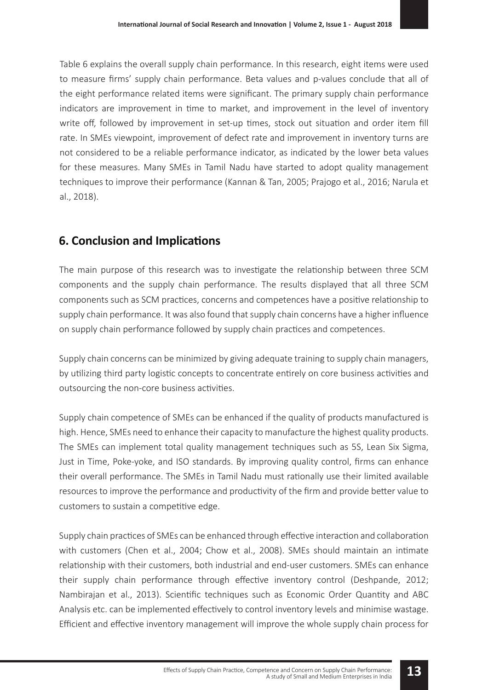Table 6 explains the overall supply chain performance. In this research, eight items were used to measure firms' supply chain performance. Beta values and p-values conclude that all of the eight performance related items were significant. The primary supply chain performance indicators are improvement in time to market, and improvement in the level of inventory write off, followed by improvement in set-up times, stock out situation and order item fill rate. In SMEs viewpoint, improvement of defect rate and improvement in inventory turns are not considered to be a reliable performance indicator, as indicated by the lower beta values for these measures. Many SMEs in Tamil Nadu have started to adopt quality management techniques to improve their performance (Kannan & Tan, 2005; Prajogo et al., 2016; Narula et al., 2018).

### **6. Conclusion and Implications**

The main purpose of this research was to investigate the relationship between three SCM components and the supply chain performance. The results displayed that all three SCM components such as SCM practices, concerns and competences have a positive relationship to supply chain performance. It was also found that supply chain concerns have a higher influence on supply chain performance followed by supply chain practices and competences.

Supply chain concerns can be minimized by giving adequate training to supply chain managers, by utilizing third party logistic concepts to concentrate entirely on core business activities and outsourcing the non-core business activities.

Supply chain competence of SMEs can be enhanced if the quality of products manufactured is high. Hence, SMEs need to enhance their capacity to manufacture the highest quality products. The SMEs can implement total quality management techniques such as 5S, Lean Six Sigma, Just in Time, Poke-yoke, and ISO standards. By improving quality control, firms can enhance their overall performance. The SMEs in Tamil Nadu must rationally use their limited available resources to improve the performance and productivity of the firm and provide better value to customers to sustain a competitive edge.

Supply chain practices of SMEs can be enhanced through effective interaction and collaboration with customers (Chen et al., 2004; Chow et al., 2008). SMEs should maintain an intimate relationship with their customers, both industrial and end-user customers. SMEs can enhance their supply chain performance through effective inventory control (Deshpande, 2012; Nambirajan et al., 2013). Scientific techniques such as Economic Order Quantity and ABC Analysis etc. can be implemented effectively to control inventory levels and minimise wastage. Efficient and effective inventory management will improve the whole supply chain process for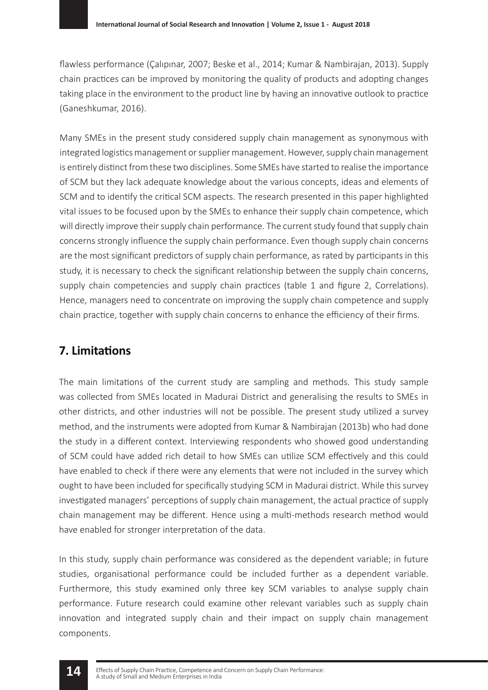flawless performance (Çalıpınar, 2007; Beske et al., 2014; Kumar & Nambirajan, 2013). Supply chain practices can be improved by monitoring the quality of products and adopting changes taking place in the environment to the product line by having an innovative outlook to practice (Ganeshkumar, 2016).

Many SMEs in the present study considered supply chain management as synonymous with integrated logistics management or supplier management. However, supply chain management is entirely distinct from these two disciplines. Some SMEs have started to realise the importance of SCM but they lack adequate knowledge about the various concepts, ideas and elements of SCM and to identify the critical SCM aspects. The research presented in this paper highlighted vital issues to be focused upon by the SMEs to enhance their supply chain competence, which will directly improve their supply chain performance. The current study found that supply chain concerns strongly influence the supply chain performance. Even though supply chain concerns are the most significant predictors of supply chain performance, as rated by participants in this study, it is necessary to check the significant relationship between the supply chain concerns, supply chain competencies and supply chain practices (table 1 and figure 2, Correlations). Hence, managers need to concentrate on improving the supply chain competence and supply chain practice, together with supply chain concerns to enhance the efficiency of their firms.

### **7. Limitations**

The main limitations of the current study are sampling and methods. This study sample was collected from SMEs located in Madurai District and generalising the results to SMEs in other districts, and other industries will not be possible. The present study utilized a survey method, and the instruments were adopted from Kumar & Nambirajan (2013b) who had done the study in a different context. Interviewing respondents who showed good understanding of SCM could have added rich detail to how SMEs can utilize SCM effectively and this could have enabled to check if there were any elements that were not included in the survey which ought to have been included for specifically studying SCM in Madurai district. While this survey investigated managers' perceptions of supply chain management, the actual practice of supply chain management may be different. Hence using a multi-methods research method would have enabled for stronger interpretation of the data.

In this study, supply chain performance was considered as the dependent variable; in future studies, organisational performance could be included further as a dependent variable. Furthermore, this study examined only three key SCM variables to analyse supply chain performance. Future research could examine other relevant variables such as supply chain innovation and integrated supply chain and their impact on supply chain management components.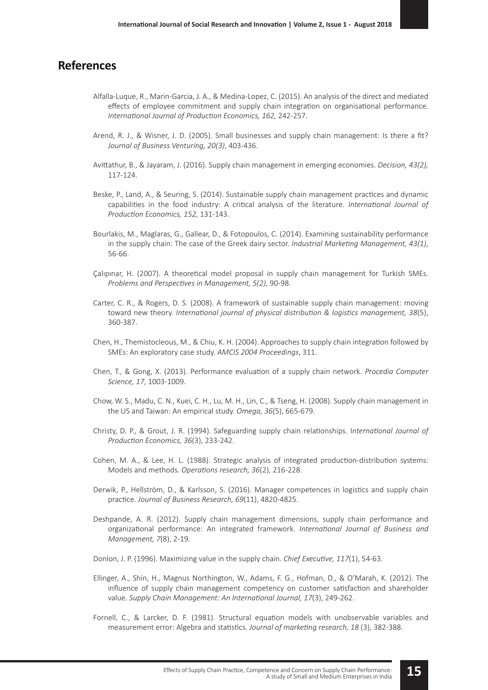#### **References**

- Alfalla-Luque, R., Marin-Garcia, J. A., & Medina-Lopez, C. (2015). An analysis of the direct and mediated effects of employee commitment and supply chain integration on organisational performance. *International Journal of Production Economics, 162,* 242-257.
- Arend, R. J., & Wisner, J. D. (2005). Small businesses and supply chain management: Is there a fit? *Journal of Business Venturing, 20(3)*, 403-436.
- Avittathur, B., & Jayaram, J. (2016). Supply chain management in emerging economies. *Decision, 43(2),*  117-124.
- Beske, P., Land, A., & Seuring, S. (2014). Sustainable supply chain management practices and dynamic capabilities in the food industry: A critical analysis of the literature. *International Journal of Production Economics, 152,* 131-143.
- Bourlakis, M., Maglaras, G., Gallear, D., & Fotopoulos, C. (2014). Examining sustainability performance in the supply chain: The case of the Greek dairy sector. *Industrial Marketing Management, 43(1)*, 56-66.
- Çalıpınar, H. (2007). A theoretical model proposal in supply chain management for Turkish SMEs. *Problems and Perspectives in Management, 5(2)*, 90-98.
- Carter, C. R., & Rogers, D. S. (2008). A framework of sustainable supply chain management: moving toward new theory. *International journal of physical distribution & logistics management, 38*(5), 360-387.
- Chen, H., Themistocleous, M., & Chiu, K. H. (2004). Approaches to supply chain integration followed by SMEs: An exploratory case study. *AMCIS 2004 Proceedings*, 311.
- Chen, T., & Gong, X. (2013). Performance evaluation of a supply chain network. *Procedia Computer Science, 17*, 1003-1009.
- Chow, W. S., Madu, C. N., Kuei, C. H., Lu, M. H., Lin, C., & Tseng, H. (2008). Supply chain management in the US and Taiwan: An empirical study. *Omega, 36*(5), 665-679.
- Christy, D. P., & Grout, J. R. (1994). Safeguarding supply chain relationships. I*nternational Journal of Production Economics, 36*(3), 233-242.
- Cohen, M. A., & Lee, H. L. (1988). Strategic analysis of integrated production-distribution systems: Models and methods. *Operations research, 36*(2), 216-228.
- Derwik, P., Hellström, D., & Karlsson, S. (2016). Manager competences in logistics and supply chain practice. *Journal of Business Research, 69*(11), 4820-4825.
- Deshpande, A. R. (2012). Supply chain management dimensions, supply chain performance and organizational performance: An integrated framework. *International Journal of Business and Management, 7*(8), 2-19.
- Donlon, J. P. (1996). Maximizing value in the supply chain. *Chief Executive, 117*(1), 54-63.
- Ellinger, A., Shin, H., Magnus Northington, W., Adams, F. G., Hofman, D., & O'Marah, K. (2012). The influence of supply chain management competency on customer satisfaction and shareholder value. *Supply Chain Management: An International Journal, 17*(3), 249-262.
- Fornell, C., & Larcker, D. F. (1981). Structural equation models with unobservable variables and measurement error: Algebra and statistics. *Journal of marketing research, 18* (3), 382-388.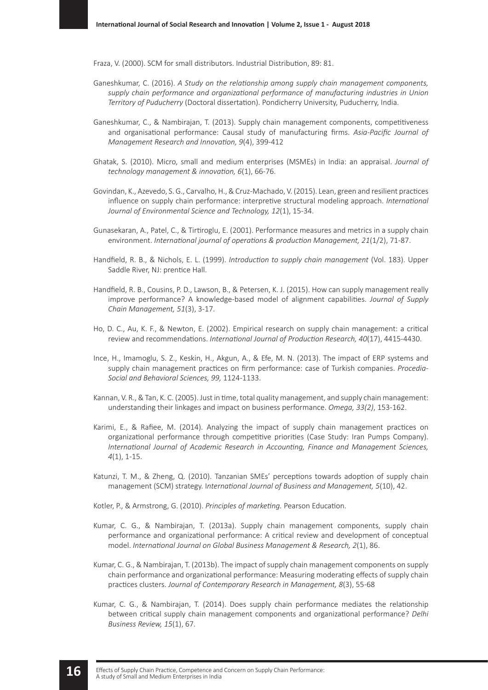Fraza, V. (2000). SCM for small distributors. Industrial Distribution, 89: 81.

- Ganeshkumar, C. (2016). *A Study on the relationship among supply chain management components,*  supply chain performance and organizational performance of manufacturing industries in Union *Territory of Puducherry* (Doctoral dissertation). Pondicherry University, Puducherry, India.
- Ganeshkumar, C., & Nambirajan, T. (2013). Supply chain management components, competitiveness and organisational performance: Causal study of manufacturing firms. *Asia-Pacific Journal of Management Research and Innovation, 9*(4), 399-412
- Ghatak, S. (2010). Micro, small and medium enterprises (MSMEs) in India: an appraisal. *Journal of technology management & innovation, 6*(1), 66-76.
- Govindan, K., Azevedo, S. G., Carvalho, H., & Cruz-Machado, V. (2015). Lean, green and resilient practices influence on supply chain performance: interpretive structural modeling approach. *International Journal of Environmental Science and Technology, 12*(1), 15-34.
- Gunasekaran, A., Patel, C., & Tirtiroglu, E. (2001). Performance measures and metrics in a supply chain environment. *International journal of operations & production Management, 21*(1/2), 71-87.
- Handfield, R. B., & Nichols, E. L. (1999). *Introduction to supply chain management* (Vol. 183). Upper Saddle River, NJ: prentice Hall.
- Handfield, R. B., Cousins, P. D., Lawson, B., & Petersen, K. J. (2015). How can supply management really improve performance? A knowledge‐based model of alignment capabilities. *Journal of Supply Chain Management, 51*(3), 3-17.
- Ho, D. C., Au, K. F., & Newton, E. (2002). Empirical research on supply chain management: a critical review and recommendations. *International Journal of Production Research, 40*(17), 4415-4430.
- Ince, H., Imamoglu, S. Z., Keskin, H., Akgun, A., & Efe, M. N. (2013). The impact of ERP systems and supply chain management practices on firm performance: case of Turkish companies. *Procedia-Social and Behavioral Sciences, 99,* 1124-1133.
- Kannan, V. R., & Tan, K. C. (2005). Just in time, total quality management, and supply chain management: understanding their linkages and impact on business performance. *Omega, 33(2)*, 153-162.
- Karimi, E., & Rafiee, M. (2014). Analyzing the impact of supply chain management practices on organizational performance through competitive priorities (Case Study: Iran Pumps Company). *International Journal of Academic Research in Accounting, Finance and Management Sciences, 4*(1), 1-15.
- Katunzi, T. M., & Zheng, Q. (2010). Tanzanian SMEs' perceptions towards adoption of supply chain management (SCM) strategy. I*nternational Journal of Business and Management, 5*(10), 42.

Kotler, P., & Armstrong, G. (2010). *Principles of marketing.* Pearson Education.

- Kumar, C. G., & Nambirajan, T. (2013a). Supply chain management components, supply chain performance and organizational performance: A critical review and development of conceptual model. *International Journal on Global Business Management & Research, 2*(1), 86.
- Kumar, C. G., & Nambirajan, T. (2013b). The impact of supply chain management components on supply chain performance and organizational performance: Measuring moderating effects of supply chain practices clusters. *Journal of Contemporary Research in Management, 8*(3), 55-68
- Kumar, C. G., & Nambirajan, T. (2014). Does supply chain performance mediates the relationship between critical supply chain management components and organizational performance? *Delhi Business Review, 15*(1), 67.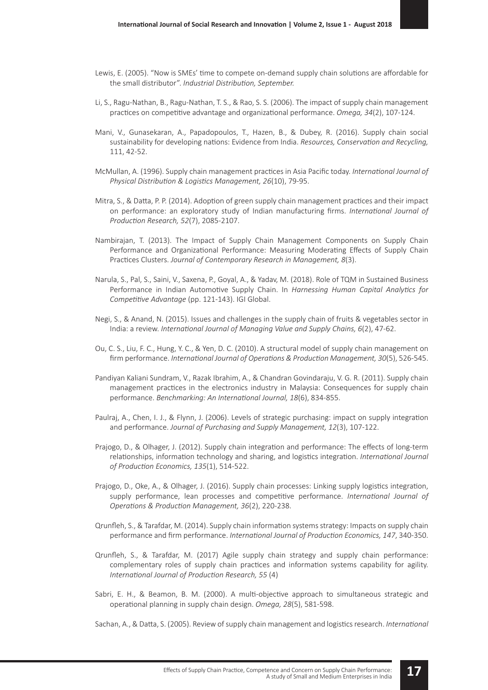- Lewis, E. (2005). "Now is SMEs' time to compete on-demand supply chain solutions are affordable for the small distributor". *Industrial Distribution, September.*
- Li, S., Ragu-Nathan, B., Ragu-Nathan, T. S., & Rao, S. S. (2006). The impact of supply chain management practices on competitive advantage and organizational performance. *Omega, 34*(2), 107-124.
- Mani, V., Gunasekaran, A., Papadopoulos, T., Hazen, B., & Dubey, R. (2016). Supply chain social sustainability for developing nations: Evidence from India. *Resources, Conservation and Recycling,*  111, 42-52.
- McMullan, A. (1996). Supply chain management practices in Asia Pacific today. *International Journal of Physical Distribution & Logistics Management, 26*(10), 79-95.
- Mitra, S., & Datta, P. P. (2014). Adoption of green supply chain management practices and their impact on performance: an exploratory study of Indian manufacturing firms. *International Journal of Production Research, 52*(7), 2085-2107.
- Nambirajan, T. (2013). The Impact of Supply Chain Management Components on Supply Chain Performance and Organizational Performance: Measuring Moderating Effects of Supply Chain Practices Clusters. *Journal of Contemporary Research in Management, 8*(3).
- Narula, S., Pal, S., Saini, V., Saxena, P., Goyal, A., & Yadav, M. (2018). Role of TQM in Sustained Business Performance in Indian Automotive Supply Chain. In *Harnessing Human Capital Analytics for Competitive Advantage* (pp. 121-143). IGI Global.
- Negi, S., & Anand, N. (2015). Issues and challenges in the supply chain of fruits & vegetables sector in India: a review. *International Journal of Managing Value and Supply Chains, 6*(2), 47-62.
- Ou, C. S., Liu, F. C., Hung, Y. C., & Yen, D. C. (2010). A structural model of supply chain management on firm performance. *International Journal of Operations & Production Management, 30*(5), 526-545.
- Pandiyan Kaliani Sundram, V., Razak Ibrahim, A., & Chandran Govindaraju, V. G. R. (2011). Supply chain management practices in the electronics industry in Malaysia: Consequences for supply chain performance. *Benchmarking: An International Journal, 18*(6), 834-855.
- Paulraj, A., Chen, I. J., & Flynn, J. (2006). Levels of strategic purchasing: impact on supply integration and performance. *Journal of Purchasing and Supply Management, 12*(3), 107-122.
- Prajogo, D., & Olhager, J. (2012). Supply chain integration and performance: The effects of long-term relationships, information technology and sharing, and logistics integration. *International Journal of Production Economics, 135*(1), 514-522.
- Prajogo, D., Oke, A., & Olhager, J. (2016). Supply chain processes: Linking supply logistics integration, supply performance, lean processes and competitive performance. *International Journal of Operations & Production Management, 36*(2), 220-238.
- Qrunfleh, S., & Tarafdar, M. (2014). Supply chain information systems strategy: Impacts on supply chain performance and firm performance. *International Journal of Production Economics, 147*, 340-350.
- Qrunfleh, S., & Tarafdar, M. (2017) Agile supply chain strategy and supply chain performance: complementary roles of supply chain practices and information systems capability for agility. *International Journal of Production Research, 55* (4)
- Sabri, E. H., & Beamon, B. M. (2000). A multi-objective approach to simultaneous strategic and operational planning in supply chain design. *Omega, 28*(5), 581-598.

Sachan, A., & Datta, S. (2005). Review of supply chain management and logistics research. *International*